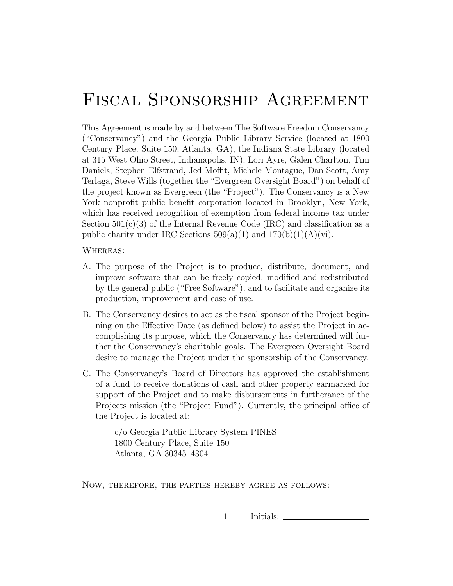## Fiscal Sponsorship Agreement

This Agreement is made by and between The Software Freedom Conservancy ("Conservancy") and the Georgia Public Library Service (located at 1800 Century Place, Suite 150, Atlanta, GA), the Indiana State Library (located at 315 West Ohio Street, Indianapolis, IN), Lori Ayre, Galen Charlton, Tim Daniels, Stephen Elfstrand, Jed Moffit, Michele Montague, Dan Scott, Amy Terlaga, Steve Wills (together the "Evergreen Oversight Board") on behalf of the project known as Evergreen (the "Project"). The Conservancy is a New York nonprofit public benefit corporation located in Brooklyn, New York, which has received recognition of exemption from federal income tax under Section  $501(c)(3)$  of the Internal Revenue Code (IRC) and classification as a public charity under IRC Sections  $509(a)(1)$  and  $170(b)(1)(A)(vi)$ .

WHEREAS:

- A. The purpose of the Project is to produce, distribute, document, and improve software that can be freely copied, modified and redistributed by the general public ("Free Software"), and to facilitate and organize its production, improvement and ease of use.
- B. The Conservancy desires to act as the fiscal sponsor of the Project beginning on the Effective Date (as defined below) to assist the Project in accomplishing its purpose, which the Conservancy has determined will further the Conservancy's charitable goals. The Evergreen Oversight Board desire to manage the Project under the sponsorship of the Conservancy.
- C. The Conservancy's Board of Directors has approved the establishment of a fund to receive donations of cash and other property earmarked for support of the Project and to make disbursements in furtherance of the Projects mission (the "Project Fund"). Currently, the principal office of the Project is located at:

c/o Georgia Public Library System PINES 1800 Century Place, Suite 150 Atlanta, GA 30345–4304

Now, therefore, the parties hereby agree as follows:

1 Initials:  $\Box$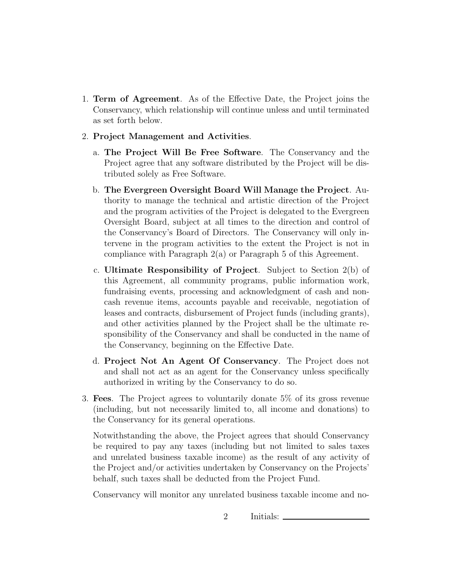- 1. Term of Agreement. As of the Effective Date, the Project joins the Conservancy, which relationship will continue unless and until terminated as set forth below.
- 2. Project Management and Activities.
	- a. The Project Will Be Free Software. The Conservancy and the Project agree that any software distributed by the Project will be distributed solely as Free Software.
	- b. The Evergreen Oversight Board Will Manage the Project. Authority to manage the technical and artistic direction of the Project and the program activities of the Project is delegated to the Evergreen Oversight Board, subject at all times to the direction and control of the Conservancy's Board of Directors. The Conservancy will only intervene in the program activities to the extent the Project is not in compliance with Paragraph 2(a) or Paragraph 5 of this Agreement.
	- c. Ultimate Responsibility of Project. Subject to Section 2(b) of this Agreement, all community programs, public information work, fundraising events, processing and acknowledgment of cash and noncash revenue items, accounts payable and receivable, negotiation of leases and contracts, disbursement of Project funds (including grants), and other activities planned by the Project shall be the ultimate responsibility of the Conservancy and shall be conducted in the name of the Conservancy, beginning on the Effective Date.
	- d. Project Not An Agent Of Conservancy. The Project does not and shall not act as an agent for the Conservancy unless specifically authorized in writing by the Conservancy to do so.
- 3. Fees. The Project agrees to voluntarily donate 5% of its gross revenue (including, but not necessarily limited to, all income and donations) to the Conservancy for its general operations.

Notwithstanding the above, the Project agrees that should Conservancy be required to pay any taxes (including but not limited to sales taxes and unrelated business taxable income) as the result of any activity of the Project and/or activities undertaken by Conservancy on the Projects' behalf, such taxes shall be deducted from the Project Fund.

Conservancy will monitor any unrelated business taxable income and no-

2 Initials:  $\Box$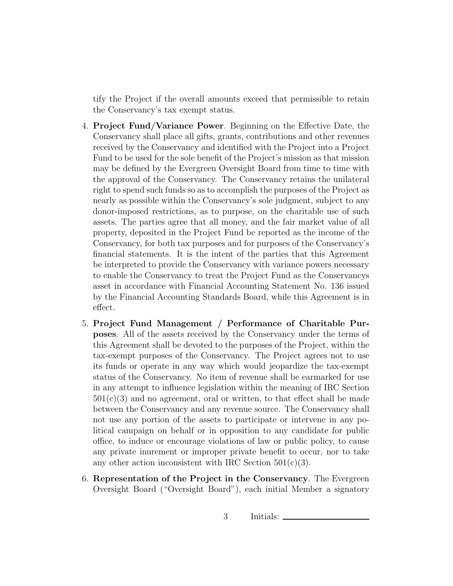tify the Project if the overall amounts exceed that permissible to retain the Conservancy's tax exempt status.

- 4. Project Fund/Variance Power. Beginning on the Effective Date, the Conservancy shall place all gifts, grants, contributions and other revenues received by the Conservancy and identified with the Project into a Project Fund to be used for the sole benefit of the Project's mission as that mission may be defined by the Evergreen Oversight Board from time to time with the approval of the Conservancy. The Conservancy retains the unilateral right to spend such funds so as to accomplish the purposes of the Project as nearly as possible within the Conservancy's sole judgment, subject to any donor-imposed restrictions, as to purpose, on the charitable use of such assets. The parties agree that all money, and the fair market value of all property, deposited in the Project Fund be reported as the income of the Conservancy, for both tax purposes and for purposes of the Conservancy's financial statements. It is the intent of the parties that this Agreement be interpreted to provide the Conservancy with variance powers necessary to enable the Conservancy to treat the Project Fund as the Conservancys asset in accordance with Financial Accounting Statement No. 136 issued by the Financial Accounting Standards Board, while this Agreement is in effect.
- 5. Project Fund Management / Performance of Charitable Purposes. All of the assets received by the Conservancy under the terms of this Agreement shall be devoted to the purposes of the Project, within the tax-exempt purposes of the Conservancy. The Project agrees not to use its funds or operate in any way which would jeopardize the tax-exempt status of the Conservancy. No item of revenue shall be earmarked for use in any attempt to influence legislation within the meaning of IRC Section  $501(c)(3)$  and no agreement, oral or written, to that effect shall be made between the Conservancy and any revenue source. The Conservancy shall not use any portion of the assets to participate or intervene in any political campaign on behalf or in opposition to any candidate for public office, to induce or encourage violations of law or public policy, to cause any private inurement or improper private benefit to occur, nor to take any other action inconsistent with IRC Section  $501(c)(3)$ .
- 6. Representation of the Project in the Conservancy. The Evergreen Oversight Board ("Oversight Board"), each initial Member a signatory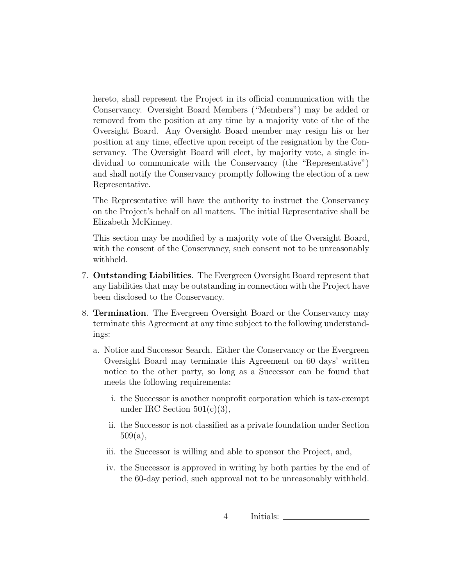hereto, shall represent the Project in its official communication with the Conservancy. Oversight Board Members ("Members") may be added or removed from the position at any time by a majority vote of the of the Oversight Board. Any Oversight Board member may resign his or her position at any time, effective upon receipt of the resignation by the Conservancy. The Oversight Board will elect, by majority vote, a single individual to communicate with the Conservancy (the "Representative") and shall notify the Conservancy promptly following the election of a new Representative.

The Representative will have the authority to instruct the Conservancy on the Project's behalf on all matters. The initial Representative shall be Elizabeth McKinney.

This section may be modified by a majority vote of the Oversight Board, with the consent of the Conservancy, such consent not to be unreasonably withheld.

- 7. Outstanding Liabilities. The Evergreen Oversight Board represent that any liabilities that may be outstanding in connection with the Project have been disclosed to the Conservancy.
- 8. Termination. The Evergreen Oversight Board or the Conservancy may terminate this Agreement at any time subject to the following understandings:
	- a. Notice and Successor Search. Either the Conservancy or the Evergreen Oversight Board may terminate this Agreement on 60 days' written notice to the other party, so long as a Successor can be found that meets the following requirements:
		- i. the Successor is another nonprofit corporation which is tax-exempt under IRC Section  $501(c)(3)$ ,
		- ii. the Successor is not classified as a private foundation under Section 509(a),
		- iii. the Successor is willing and able to sponsor the Project, and,
		- iv. the Successor is approved in writing by both parties by the end of the 60-day period, such approval not to be unreasonably withheld.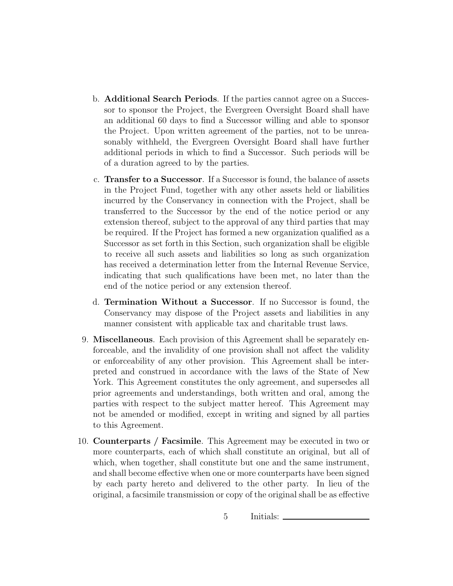- b. Additional Search Periods. If the parties cannot agree on a Successor to sponsor the Project, the Evergreen Oversight Board shall have an additional 60 days to find a Successor willing and able to sponsor the Project. Upon written agreement of the parties, not to be unreasonably withheld, the Evergreen Oversight Board shall have further additional periods in which to find a Successor. Such periods will be of a duration agreed to by the parties.
- c. Transfer to a Successor. If a Successor is found, the balance of assets in the Project Fund, together with any other assets held or liabilities incurred by the Conservancy in connection with the Project, shall be transferred to the Successor by the end of the notice period or any extension thereof, subject to the approval of any third parties that may be required. If the Project has formed a new organization qualified as a Successor as set forth in this Section, such organization shall be eligible to receive all such assets and liabilities so long as such organization has received a determination letter from the Internal Revenue Service, indicating that such qualifications have been met, no later than the end of the notice period or any extension thereof.
- d. Termination Without a Successor. If no Successor is found, the Conservancy may dispose of the Project assets and liabilities in any manner consistent with applicable tax and charitable trust laws.
- 9. Miscellaneous. Each provision of this Agreement shall be separately enforceable, and the invalidity of one provision shall not affect the validity or enforceability of any other provision. This Agreement shall be interpreted and construed in accordance with the laws of the State of New York. This Agreement constitutes the only agreement, and supersedes all prior agreements and understandings, both written and oral, among the parties with respect to the subject matter hereof. This Agreement may not be amended or modified, except in writing and signed by all parties to this Agreement.
- 10. Counterparts / Facsimile. This Agreement may be executed in two or more counterparts, each of which shall constitute an original, but all of which, when together, shall constitute but one and the same instrument, and shall become effective when one or more counterparts have been signed by each party hereto and delivered to the other party. In lieu of the original, a facsimile transmission or copy of the original shall be as effective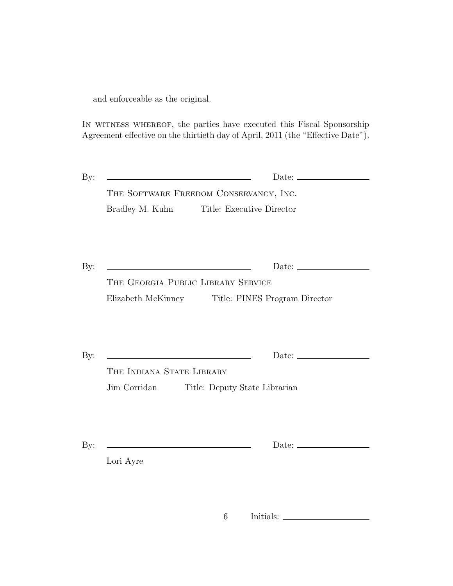and enforceable as the original.

IN WITNESS WHEREOF, the parties have executed this Fiscal Sponsorship Agreement effective on the thirtieth day of April, 2011 (the "Effective Date").

| $\rm\,By:$ | <u> 1989 - Andrea Stadt Britain, amerikansk politiker (</u> |                                        |
|------------|-------------------------------------------------------------|----------------------------------------|
|            |                                                             | THE SOFTWARE FREEDOM CONSERVANCY, INC. |
|            | Bradley M. Kuhn                                             | Title: Executive Director              |
|            |                                                             |                                        |
|            |                                                             |                                        |

By: Date:

The Georgia Public Library Service Elizabeth McKinney Title: PINES Program Director

By: Date:

THE INDIANA STATE LIBRARY Jim Corridan Title: Deputy State Librarian

By: Date:

Lori Ayre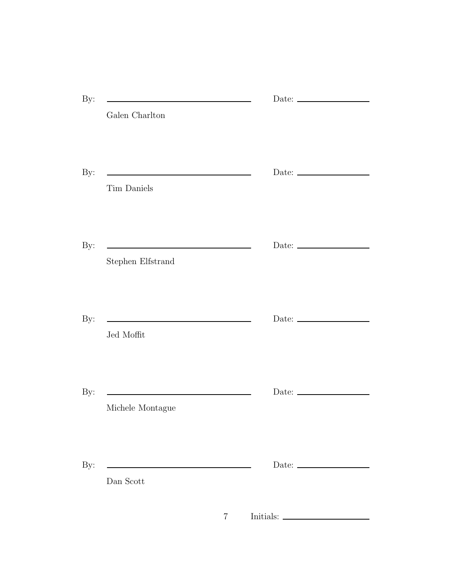|                   | Date: $\_\_$                                           |
|-------------------|--------------------------------------------------------|
| Galen Charlton    |                                                        |
| Tim Daniels       | Date: $\frac{1}{\sqrt{1-\frac{1}{2}}\cdot\frac{1}{2}}$ |
| Stephen Elfstrand | Date: $\_\_$                                           |
| Jed Moffit        | Date: $\_\_$                                           |
| Michele Montague  | Date: $\qquad \qquad$                                  |
| Dan Scott         | Date: $\frac{1}{\sqrt{1-\frac{1}{2}}\cdot\frac{1}{2}}$ |